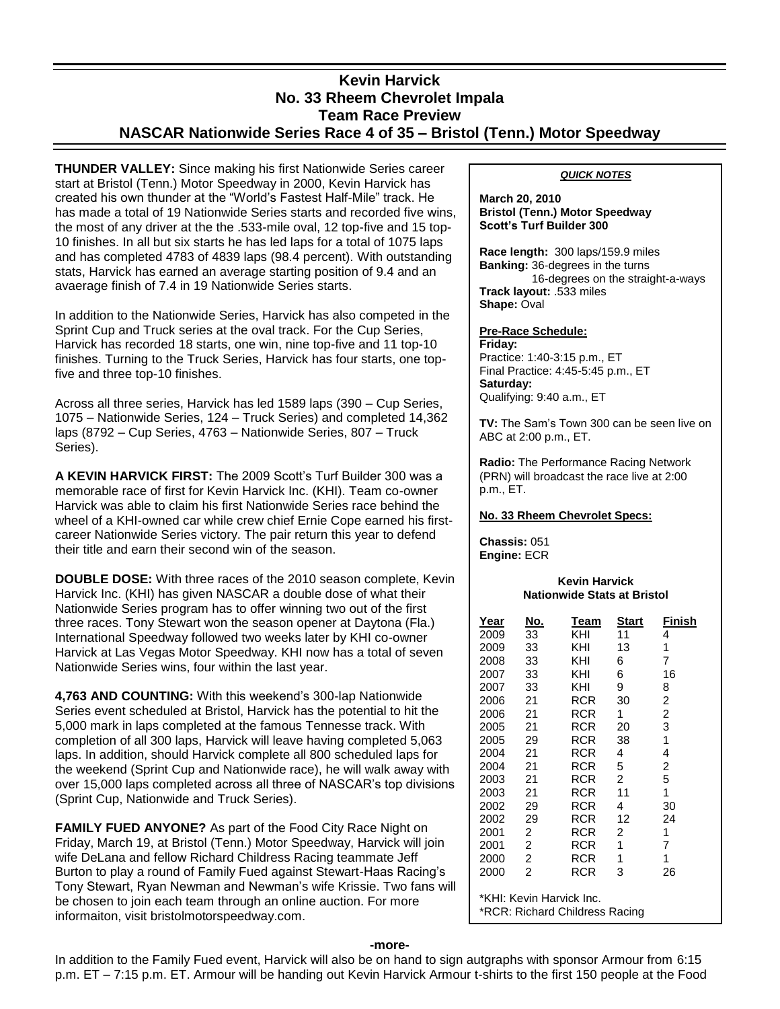# **Kevin Harvick No. 33 Rheem Chevrolet Impala Team Race Preview NASCAR Nationwide Series Race 4 of 35 – Bristol (Tenn.) Motor Speedway**

**THUNDER VALLEY:** Since making his first Nationwide Series career start at Bristol (Tenn.) Motor Speedway in 2000, Kevin Harvick has created his own thunder at the "World's Fastest Half-Mile" track. He has made a total of 19 Nationwide Series starts and recorded five wins, the most of any driver at the the .533-mile oval, 12 top-five and 15 top-10 finishes. In all but six starts he has led laps for a total of 1075 laps and has completed 4783 of 4839 laps (98.4 percent). With outstanding stats, Harvick has earned an average starting position of 9.4 and an avaerage finish of 7.4 in 19 Nationwide Series starts.

In addition to the Nationwide Series, Harvick has also competed in the Sprint Cup and Truck series at the oval track. For the Cup Series, Harvick has recorded 18 starts, one win, nine top-five and 11 top-10 finishes. Turning to the Truck Series, Harvick has four starts, one topfive and three top-10 finishes.

Across all three series, Harvick has led 1589 laps (390 – Cup Series, 1075 – Nationwide Series, 124 – Truck Series) and completed 14,362 laps (8792 – Cup Series, 4763 – Nationwide Series, 807 – Truck Series).

**A KEVIN HARVICK FIRST:** The 2009 Scott's Turf Builder 300 was a memorable race of first for Kevin Harvick Inc. (KHI). Team co-owner Harvick was able to claim his first Nationwide Series race behind the wheel of a KHI-owned car while crew chief Ernie Cope earned his firstcareer Nationwide Series victory. The pair return this year to defend their title and earn their second win of the season.

**DOUBLE DOSE:** With three races of the 2010 season complete, Kevin Harvick Inc. (KHI) has given NASCAR a double dose of what their Nationwide Series program has to offer winning two out of the first three races. Tony Stewart won the season opener at Daytona (Fla.) International Speedway followed two weeks later by KHI co-owner Harvick at Las Vegas Motor Speedway. KHI now has a total of seven Nationwide Series wins, four within the last year.

**4,763 AND COUNTING:** With this weekend's 300-lap Nationwide Series event scheduled at Bristol, Harvick has the potential to hit the 5,000 mark in laps completed at the famous Tennesse track. With completion of all 300 laps, Harvick will leave having completed 5,063 laps. In addition, should Harvick complete all 800 scheduled laps for the weekend (Sprint Cup and Nationwide race), he will walk away with over 15,000 laps completed across all three of NASCAR's top divisions (Sprint Cup, Nationwide and Truck Series).

**FAMILY FUED ANYONE?** As part of the Food City Race Night on Friday, March 19, at Bristol (Tenn.) Motor Speedway, Harvick will join wife DeLana and fellow Richard Childress Racing teammate Jeff Burton to play a round of Family Fued against Stewart-Haas Racing's Tony Stewart, Ryan Newman and Newman's wife Krissie. Two fans will be chosen to join each team through an online auction. For more informaiton, visit bristolmotorspeedway.com.

# *QUICK NOTES*

### **March 20, 2010 Bristol (Tenn.) Motor Speedway Scott's Turf Builder 300**

**Race length:** 300 laps/159.9 miles **Banking:** 36-degrees in the turns 16-degrees on the straight-a-ways **Track layout:** .533 miles **Shape:** Oval

#### **Pre-Race Schedule: Friday:**

Practice: 1:40-3:15 p.m., ET Final Practice: 4:45-5:45 p.m., ET **Saturday:** Qualifying: 9:40 a.m., ET

**TV:** The Sam's Town 300 can be seen live on ABC at 2:00 p.m., ET.

**Radio:** The Performance Racing Network (PRN) will broadcast the race live at 2:00 p.m., ET.

# **No. 33 Rheem Chevrolet Specs:**

**Chassis:** 051 **Engine:** ECR

## **Kevin Harvick Nationwide Stats at Bristol**

| Year                           | No.            | Team       | Start | Finish |
|--------------------------------|----------------|------------|-------|--------|
| 2009                           | 33             | KHI        | 11    | 4      |
| 2009                           | 33             | KHI        | 13    | 1      |
| 2008                           | 33             | KHI        | 6     | 7      |
| 2007                           | 33             | KHI        | 6     | 16     |
| 2007                           | 33             | KHI        | 9     | 8      |
| 2006                           | 21             | <b>RCR</b> | 30    | 2      |
| 2006                           | 21             | RCR        | 1     | 2      |
| 2005                           | 21             | <b>RCR</b> | 20    | 3      |
| 2005                           | 29             | RCR        | 38    | 1      |
| 2004                           | 21             | RCR        | 4     | 4      |
| 2004                           | 21             | RCR        | 5     | 2      |
| 2003                           | 21             | RCR        | 2     | 5      |
| 2003                           | 21             | <b>RCR</b> | 11    | 1      |
| 2002                           | 29             | <b>RCR</b> | 4     | 30     |
| 2002                           | 29             | RCR        | 12    | 24     |
| 2001                           | 2              | RCR        | 2     | 1      |
| 2001                           | 2              | RCR        | 1     | 7      |
| 2000                           | 2              | <b>RCR</b> | 1     | 1      |
| 2000                           | $\overline{2}$ | RCR        | 3     | 26     |
| *KHI: Kevin Harvick Inc.       |                |            |       |        |
| *RCR: Richard Childress Racing |                |            |       |        |

### **-more-**

In addition to the Family Fued event, Harvick will also be on hand to sign autgraphs with sponsor Armour from 6:15 p.m. ET – 7:15 p.m. ET. Armour will be handing out Kevin Harvick Armour t-shirts to the first 150 people at the Food